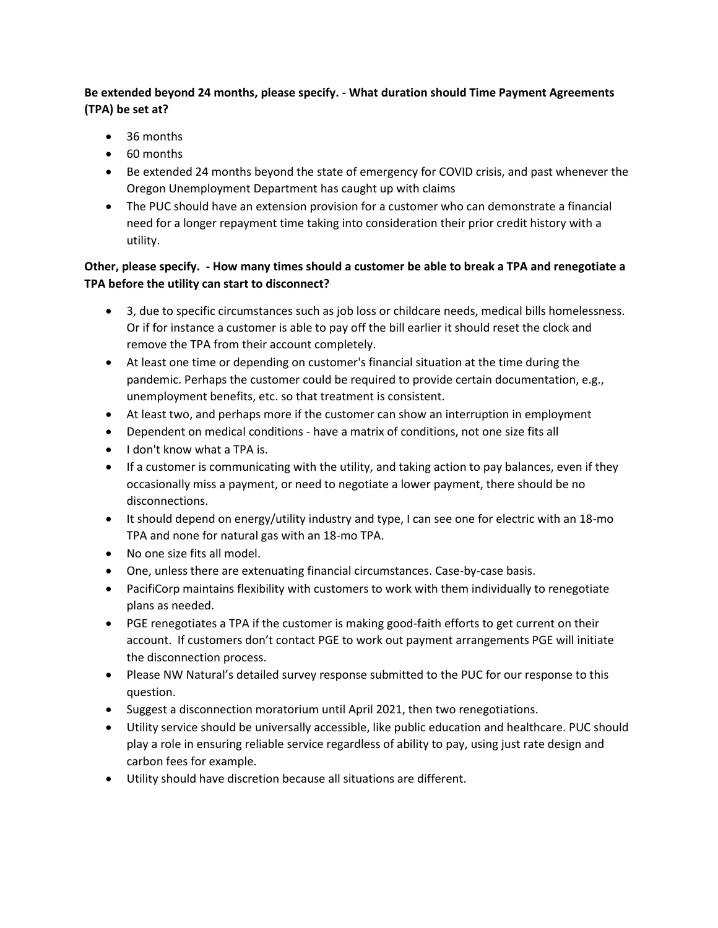# **Be extended beyond 24 months, please specify. - What duration should Time Payment Agreements (TPA) be set at?**

- 36 months
- 60 months
- Be extended 24 months beyond the state of emergency for COVID crisis, and past whenever the Oregon Unemployment Department has caught up with claims
- The PUC should have an extension provision for a customer who can demonstrate a financial need for a longer repayment time taking into consideration their prior credit history with a utility.

### **Other, please specify. - How many times should a customer be able to break a TPA and renegotiate a TPA before the utility can start to disconnect?**

- 3, due to specific circumstances such as job loss or childcare needs, medical bills homelessness. Or if for instance a customer is able to pay off the bill earlier it should reset the clock and remove the TPA from their account completely.
- At least one time or depending on customer's financial situation at the time during the pandemic. Perhaps the customer could be required to provide certain documentation, e.g., unemployment benefits, etc. so that treatment is consistent.
- At least two, and perhaps more if the customer can show an interruption in employment
- Dependent on medical conditions have a matrix of conditions, not one size fits all
- $\bullet$  I don't know what a TPA is.
- If a customer is communicating with the utility, and taking action to pay balances, even if they occasionally miss a payment, or need to negotiate a lower payment, there should be no disconnections.
- $\bullet$  It should depend on energy/utility industry and type, I can see one for electric with an 18-mo TPA and none for natural gas with an 18-mo TPA.
- No one size fits all model.
- One, unless there are extenuating financial circumstances. Case-by-case basis.
- PacifiCorp maintains flexibility with customers to work with them individually to renegotiate plans as needed.
- PGE renegotiates a TPA if the customer is making good-faith efforts to get current on their account. If customers don't contact PGE to work out payment arrangements PGE will initiate the disconnection process.
- Please NW Natural's detailed survey response submitted to the PUC for our response to this question.
- Suggest a disconnection moratorium until April 2021, then two renegotiations.
- Utility service should be universally accessible, like public education and healthcare. PUC should play a role in ensuring reliable service regardless of ability to pay, using just rate design and carbon fees for example.
- Utility should have discretion because all situations are different.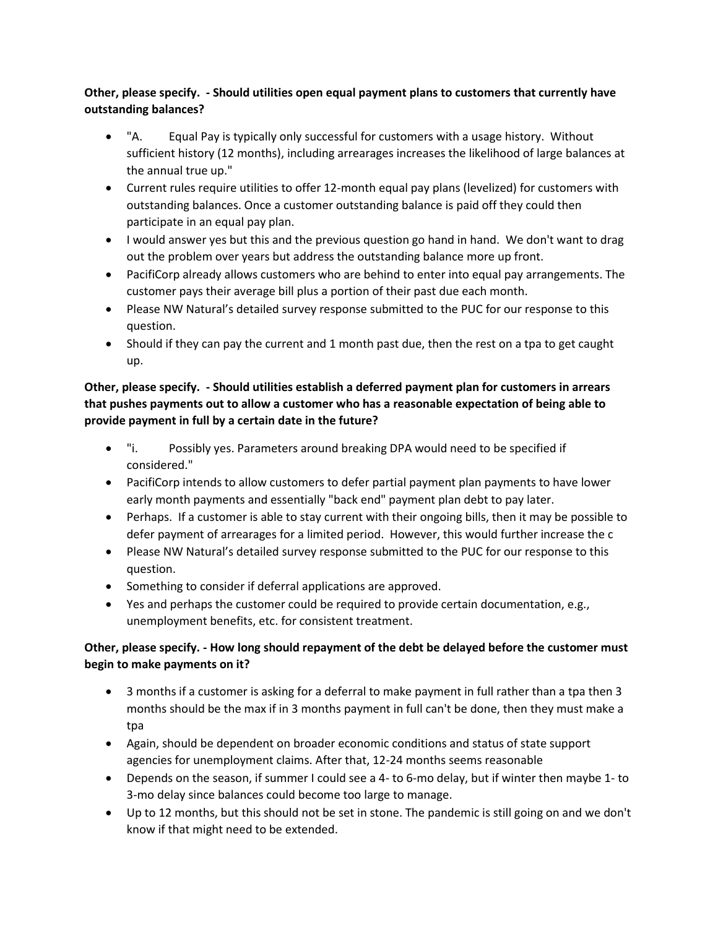## **Other, please specify. - Should utilities open equal payment plans to customers that currently have outstanding balances?**

- "A. Equal Pay is typically only successful for customers with a usage history. Without sufficient history (12 months), including arrearages increases the likelihood of large balances at the annual true up."
- Current rules require utilities to offer 12-month equal pay plans (levelized) for customers with outstanding balances. Once a customer outstanding balance is paid off they could then participate in an equal pay plan.
- I would answer yes but this and the previous question go hand in hand. We don't want to drag out the problem over years but address the outstanding balance more up front.
- PacifiCorp already allows customers who are behind to enter into equal pay arrangements. The customer pays their average bill plus a portion of their past due each month.
- Please NW Natural's detailed survey response submitted to the PUC for our response to this question.
- Should if they can pay the current and 1 month past due, then the rest on a tpa to get caught up.

## **Other, please specify. - Should utilities establish a deferred payment plan for customers in arrears that pushes payments out to allow a customer who has a reasonable expectation of being able to provide payment in full by a certain date in the future?**

- "i. Possibly yes. Parameters around breaking DPA would need to be specified if considered."
- PacifiCorp intends to allow customers to defer partial payment plan payments to have lower early month payments and essentially "back end" payment plan debt to pay later.
- Perhaps. If a customer is able to stay current with their ongoing bills, then it may be possible to defer payment of arrearages for a limited period. However, this would further increase the c
- Please NW Natural's detailed survey response submitted to the PUC for our response to this question.
- Something to consider if deferral applications are approved.
- Yes and perhaps the customer could be required to provide certain documentation, e.g., unemployment benefits, etc. for consistent treatment.

# **Other, please specify. - How long should repayment of the debt be delayed before the customer must begin to make payments on it?**

- 3 months if a customer is asking for a deferral to make payment in full rather than a tpa then 3 months should be the max if in 3 months payment in full can't be done, then they must make a tpa
- Again, should be dependent on broader economic conditions and status of state support agencies for unemployment claims. After that, 12-24 months seems reasonable
- Depends on the season, if summer I could see a 4- to 6-mo delay, but if winter then maybe 1- to 3-mo delay since balances could become too large to manage.
- Up to 12 months, but this should not be set in stone. The pandemic is still going on and we don't know if that might need to be extended.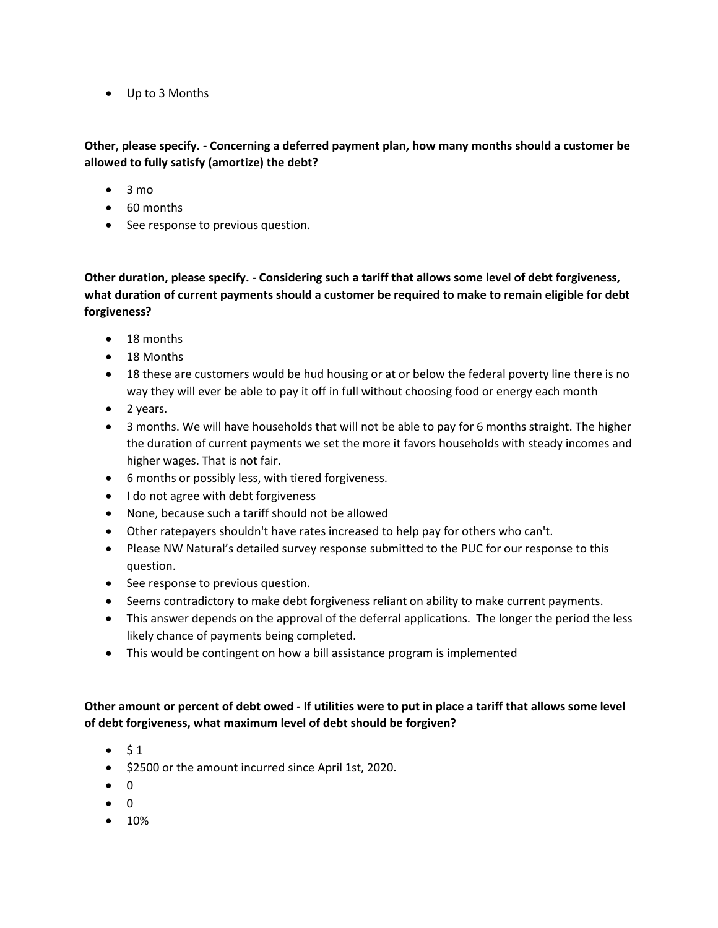Up to 3 Months

#### **Other, please specify. - Concerning a deferred payment plan, how many months should a customer be allowed to fully satisfy (amortize) the debt?**

- $\bullet$  3 mo
- 60 months
- See response to previous question.

**Other duration, please specify. - Considering such a tariff that allows some level of debt forgiveness, what duration of current payments should a customer be required to make to remain eligible for debt forgiveness?** 

- 18 months
- 18 Months
- 18 these are customers would be hud housing or at or below the federal poverty line there is no way they will ever be able to pay it off in full without choosing food or energy each month
- $\bullet$  2 years.
- 3 months. We will have households that will not be able to pay for 6 months straight. The higher the duration of current payments we set the more it favors households with steady incomes and higher wages. That is not fair.
- 6 months or possibly less, with tiered forgiveness.
- I do not agree with debt forgiveness
- None, because such a tariff should not be allowed
- Other ratepayers shouldn't have rates increased to help pay for others who can't.
- Please NW Natural's detailed survey response submitted to the PUC for our response to this question.
- See response to previous question.
- Seems contradictory to make debt forgiveness reliant on ability to make current payments.
- This answer depends on the approval of the deferral applications. The longer the period the less likely chance of payments being completed.
- This would be contingent on how a bill assistance program is implemented

### **Other amount or percent of debt owed - If utilities were to put in place a tariff that allows some level of debt forgiveness, what maximum level of debt should be forgiven?**

- $\bullet$  \$1
- $\bullet$  \$2500 or the amount incurred since April 1st, 2020.
- $\bullet$  0
- $\bullet$  0
- $10%$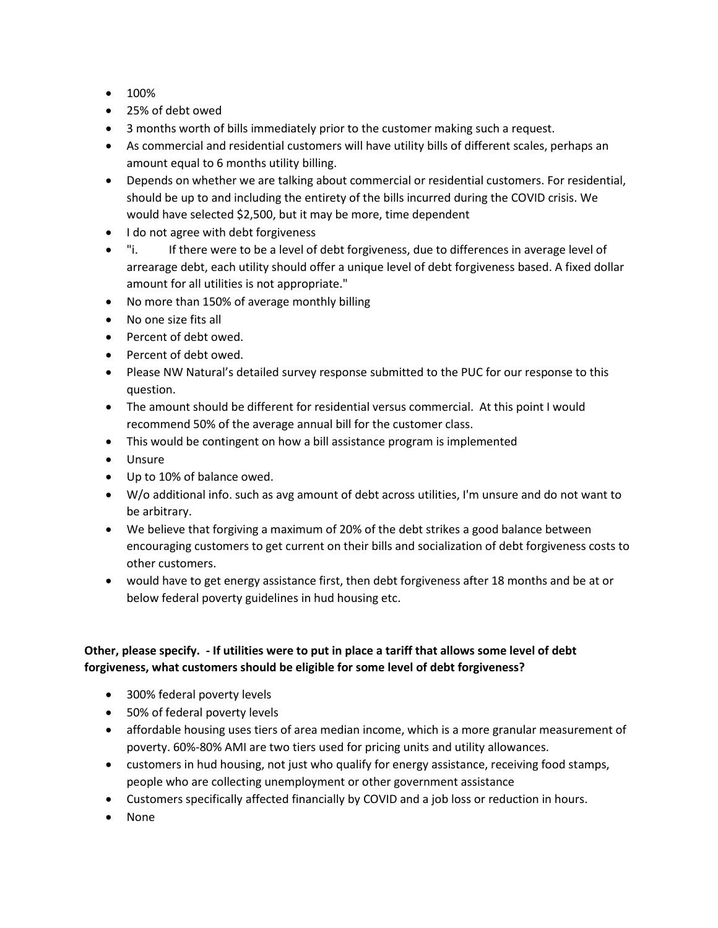- $100%$
- 25% of debt owed
- 3 months worth of bills immediately prior to the customer making such a request.
- As commercial and residential customers will have utility bills of different scales, perhaps an amount equal to 6 months utility billing.
- Depends on whether we are talking about commercial or residential customers. For residential, should be up to and including the entirety of the bills incurred during the COVID crisis. We would have selected \$2,500, but it may be more, time dependent
- I do not agree with debt forgiveness
- "i. If there were to be a level of debt forgiveness, due to differences in average level of arrearage debt, each utility should offer a unique level of debt forgiveness based. A fixed dollar amount for all utilities is not appropriate."
- No more than 150% of average monthly billing
- No one size fits all
- Percent of debt owed.
- Percent of debt owed.
- Please NW Natural's detailed survey response submitted to the PUC for our response to this question.
- The amount should be different for residential versus commercial. At this point I would recommend 50% of the average annual bill for the customer class.
- This would be contingent on how a bill assistance program is implemented
- Unsure
- Up to 10% of balance owed.
- W/o additional info. such as avg amount of debt across utilities, I'm unsure and do not want to be arbitrary.
- We believe that forgiving a maximum of 20% of the debt strikes a good balance between encouraging customers to get current on their bills and socialization of debt forgiveness costs to other customers.
- would have to get energy assistance first, then debt forgiveness after 18 months and be at or below federal poverty guidelines in hud housing etc.

### **Other, please specify. - If utilities were to put in place a tariff that allows some level of debt forgiveness, what customers should be eligible for some level of debt forgiveness?**

- 300% federal poverty levels
- 50% of federal poverty levels
- affordable housing uses tiers of area median income, which is a more granular measurement of poverty. 60%-80% AMI are two tiers used for pricing units and utility allowances.
- customers in hud housing, not just who qualify for energy assistance, receiving food stamps, people who are collecting unemployment or other government assistance
- Customers specifically affected financially by COVID and a job loss or reduction in hours.
- None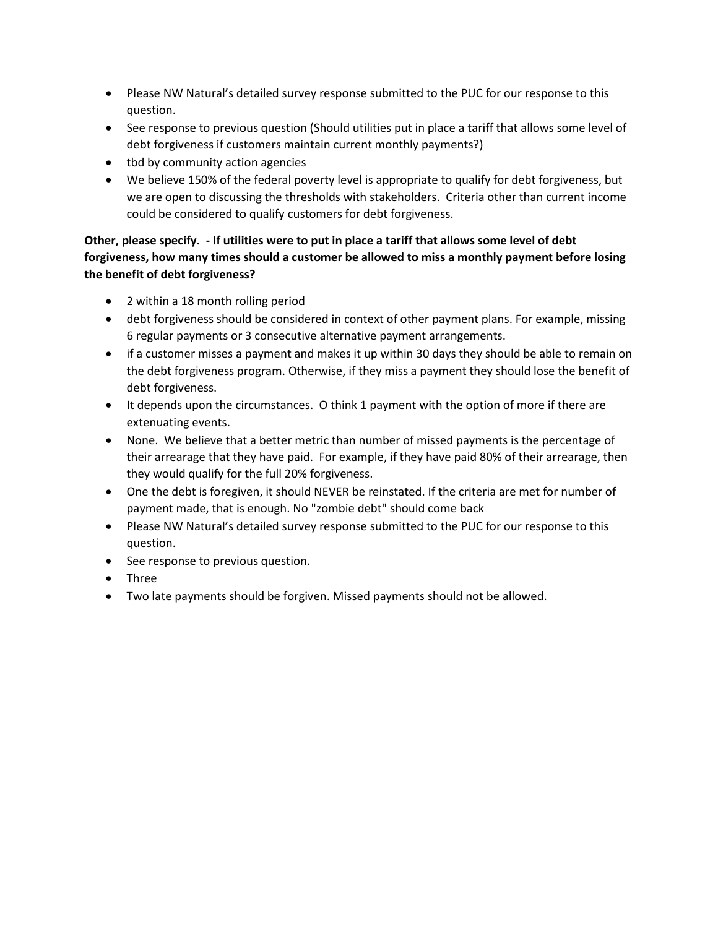- Please NW Natural's detailed survey response submitted to the PUC for our response to this question.
- See response to previous question (Should utilities put in place a tariff that allows some level of debt forgiveness if customers maintain current monthly payments?)
- tbd by community action agencies
- We believe 150% of the federal poverty level is appropriate to qualify for debt forgiveness, but we are open to discussing the thresholds with stakeholders. Criteria other than current income could be considered to qualify customers for debt forgiveness.

# **Other, please specify. - If utilities were to put in place a tariff that allows some level of debt forgiveness, how many times should a customer be allowed to miss a monthly payment before losing the benefit of debt forgiveness?**

- 2 within a 18 month rolling period
- debt forgiveness should be considered in context of other payment plans. For example, missing 6 regular payments or 3 consecutive alternative payment arrangements.
- if a customer misses a payment and makes it up within 30 days they should be able to remain on the debt forgiveness program. Otherwise, if they miss a payment they should lose the benefit of debt forgiveness.
- It depends upon the circumstances. O think 1 payment with the option of more if there are extenuating events.
- None. We believe that a better metric than number of missed payments is the percentage of their arrearage that they have paid. For example, if they have paid 80% of their arrearage, then they would qualify for the full 20% forgiveness.
- One the debt is foregiven, it should NEVER be reinstated. If the criteria are met for number of payment made, that is enough. No "zombie debt" should come back
- Please NW Natural's detailed survey response submitted to the PUC for our response to this question.
- See response to previous question.
- Three
- Two late payments should be forgiven. Missed payments should not be allowed.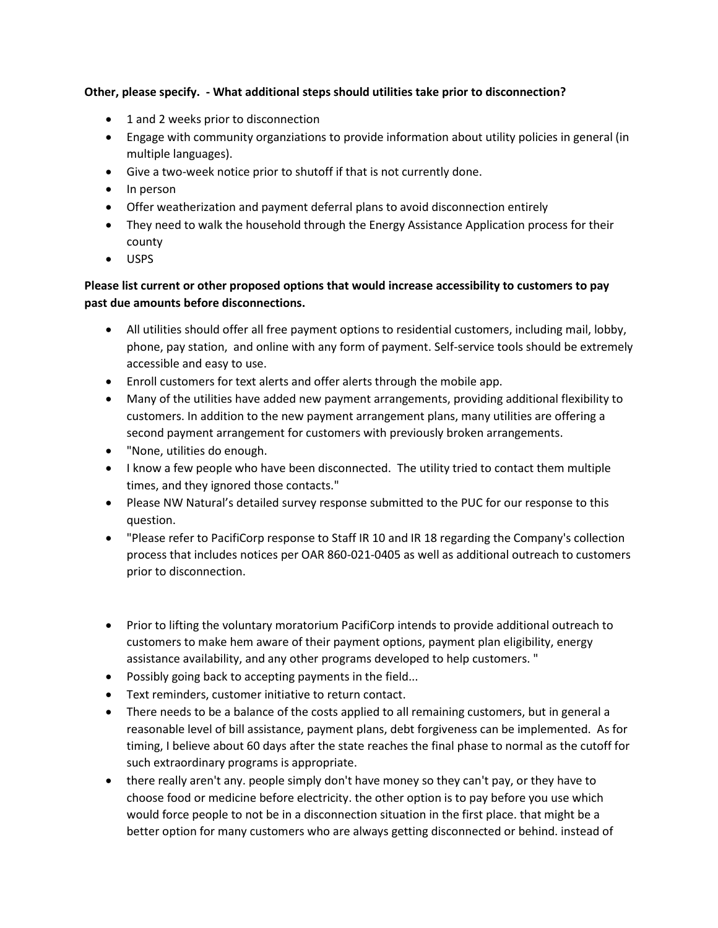#### **Other, please specify. - What additional steps should utilities take prior to disconnection?**

- 1 and 2 weeks prior to disconnection
- Engage with community organziations to provide information about utility policies in general (in multiple languages).
- Give a two-week notice prior to shutoff if that is not currently done.
- In person
- Offer weatherization and payment deferral plans to avoid disconnection entirely
- They need to walk the household through the Energy Assistance Application process for their county
- USPS

### **Please list current or other proposed options that would increase accessibility to customers to pay past due amounts before disconnections.**

- All utilities should offer all free payment options to residential customers, including mail, lobby, phone, pay station, and online with any form of payment. Self-service tools should be extremely accessible and easy to use.
- Enroll customers for text alerts and offer alerts through the mobile app.
- Many of the utilities have added new payment arrangements, providing additional flexibility to customers. In addition to the new payment arrangement plans, many utilities are offering a second payment arrangement for customers with previously broken arrangements.
- "None, utilities do enough.
- I know a few people who have been disconnected. The utility tried to contact them multiple times, and they ignored those contacts."
- Please NW Natural's detailed survey response submitted to the PUC for our response to this question.
- "Please refer to PacifiCorp response to Staff IR 10 and IR 18 regarding the Company's collection process that includes notices per OAR 860-021-0405 as well as additional outreach to customers prior to disconnection.
- Prior to lifting the voluntary moratorium PacifiCorp intends to provide additional outreach to customers to make hem aware of their payment options, payment plan eligibility, energy assistance availability, and any other programs developed to help customers. "
- Possibly going back to accepting payments in the field...
- Text reminders, customer initiative to return contact.
- There needs to be a balance of the costs applied to all remaining customers, but in general a reasonable level of bill assistance, payment plans, debt forgiveness can be implemented. As for timing, I believe about 60 days after the state reaches the final phase to normal as the cutoff for such extraordinary programs is appropriate.
- there really aren't any. people simply don't have money so they can't pay, or they have to choose food or medicine before electricity. the other option is to pay before you use which would force people to not be in a disconnection situation in the first place. that might be a better option for many customers who are always getting disconnected or behind. instead of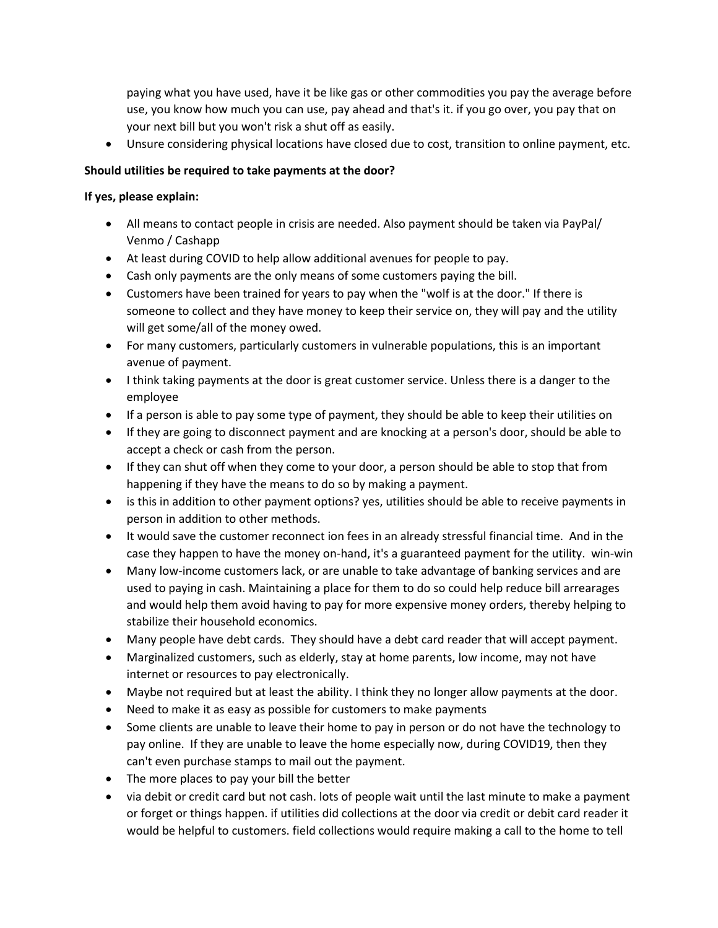paying what you have used, have it be like gas or other commodities you pay the average before use, you know how much you can use, pay ahead and that's it. if you go over, you pay that on your next bill but you won't risk a shut off as easily.

Unsure considering physical locations have closed due to cost, transition to online payment, etc.

#### **Should utilities be required to take payments at the door?**

#### **If yes, please explain:**

- All means to contact people in crisis are needed. Also payment should be taken via PayPal/ Venmo / Cashapp
- At least during COVID to help allow additional avenues for people to pay.
- Cash only payments are the only means of some customers paying the bill.
- Customers have been trained for years to pay when the "wolf is at the door." If there is someone to collect and they have money to keep their service on, they will pay and the utility will get some/all of the money owed.
- For many customers, particularly customers in vulnerable populations, this is an important avenue of payment.
- I think taking payments at the door is great customer service. Unless there is a danger to the employee
- If a person is able to pay some type of payment, they should be able to keep their utilities on
- If they are going to disconnect payment and are knocking at a person's door, should be able to accept a check or cash from the person.
- If they can shut off when they come to your door, a person should be able to stop that from happening if they have the means to do so by making a payment.
- is this in addition to other payment options? yes, utilities should be able to receive payments in person in addition to other methods.
- It would save the customer reconnect ion fees in an already stressful financial time. And in the case they happen to have the money on-hand, it's a guaranteed payment for the utility. win-win
- Many low-income customers lack, or are unable to take advantage of banking services and are used to paying in cash. Maintaining a place for them to do so could help reduce bill arrearages and would help them avoid having to pay for more expensive money orders, thereby helping to stabilize their household economics.
- Many people have debt cards. They should have a debt card reader that will accept payment.
- Marginalized customers, such as elderly, stay at home parents, low income, may not have internet or resources to pay electronically.
- Maybe not required but at least the ability. I think they no longer allow payments at the door.
- Need to make it as easy as possible for customers to make payments
- Some clients are unable to leave their home to pay in person or do not have the technology to pay online. If they are unable to leave the home especially now, during COVID19, then they can't even purchase stamps to mail out the payment.
- The more places to pay your bill the better
- via debit or credit card but not cash. lots of people wait until the last minute to make a payment or forget or things happen. if utilities did collections at the door via credit or debit card reader it would be helpful to customers. field collections would require making a call to the home to tell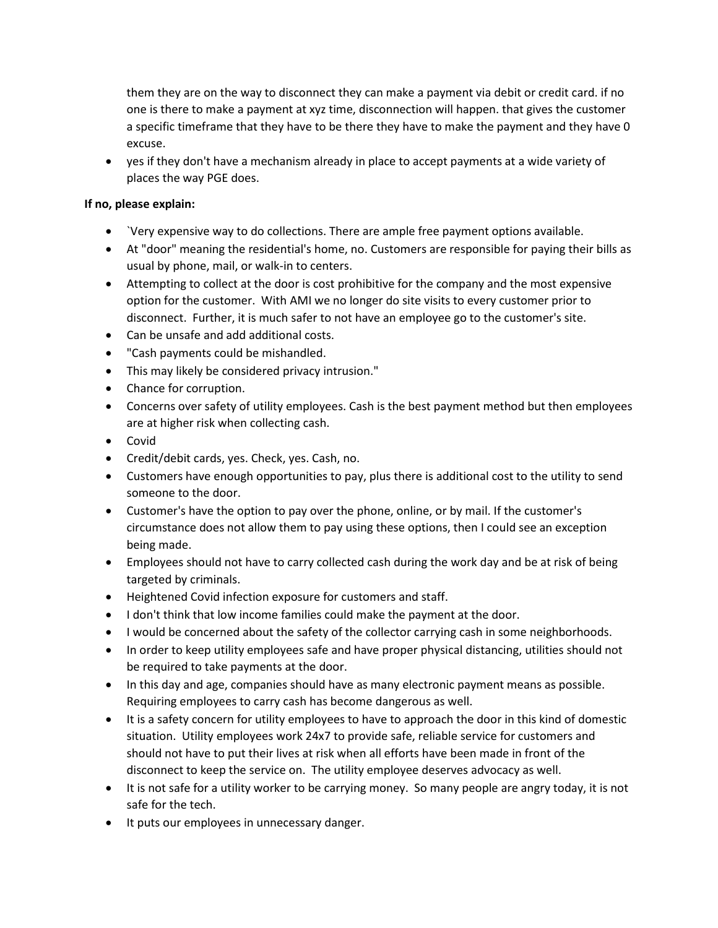them they are on the way to disconnect they can make a payment via debit or credit card. if no one is there to make a payment at xyz time, disconnection will happen. that gives the customer a specific timeframe that they have to be there they have to make the payment and they have 0 excuse.

 yes if they don't have a mechanism already in place to accept payments at a wide variety of places the way PGE does.

#### **If no, please explain:**

- `Very expensive way to do collections. There are ample free payment options available.
- At "door" meaning the residential's home, no. Customers are responsible for paying their bills as usual by phone, mail, or walk-in to centers.
- Attempting to collect at the door is cost prohibitive for the company and the most expensive option for the customer. With AMI we no longer do site visits to every customer prior to disconnect. Further, it is much safer to not have an employee go to the customer's site.
- Can be unsafe and add additional costs.
- "Cash payments could be mishandled.
- This may likely be considered privacy intrusion."
- Chance for corruption.
- Concerns over safety of utility employees. Cash is the best payment method but then employees are at higher risk when collecting cash.
- Covid
- Credit/debit cards, yes. Check, yes. Cash, no.
- Customers have enough opportunities to pay, plus there is additional cost to the utility to send someone to the door.
- Customer's have the option to pay over the phone, online, or by mail. If the customer's circumstance does not allow them to pay using these options, then I could see an exception being made.
- Employees should not have to carry collected cash during the work day and be at risk of being targeted by criminals.
- Heightened Covid infection exposure for customers and staff.
- I don't think that low income families could make the payment at the door.
- I would be concerned about the safety of the collector carrying cash in some neighborhoods.
- In order to keep utility employees safe and have proper physical distancing, utilities should not be required to take payments at the door.
- In this day and age, companies should have as many electronic payment means as possible. Requiring employees to carry cash has become dangerous as well.
- It is a safety concern for utility employees to have to approach the door in this kind of domestic situation. Utility employees work 24x7 to provide safe, reliable service for customers and should not have to put their lives at risk when all efforts have been made in front of the disconnect to keep the service on. The utility employee deserves advocacy as well.
- It is not safe for a utility worker to be carrying money. So many people are angry today, it is not safe for the tech.
- It puts our employees in unnecessary danger.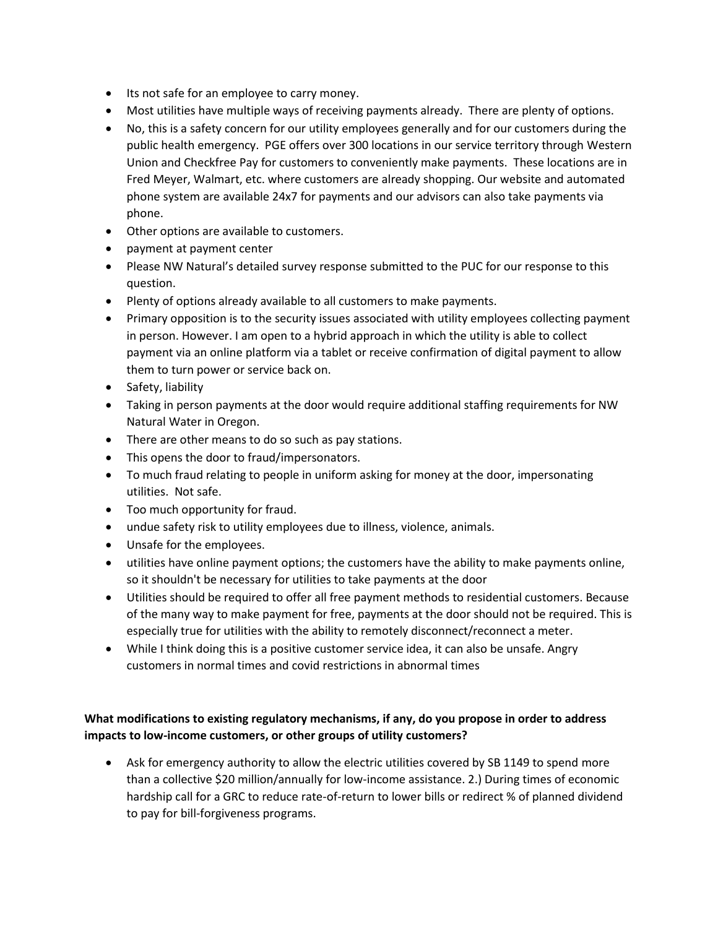- Its not safe for an employee to carry money.
- Most utilities have multiple ways of receiving payments already. There are plenty of options.
- No, this is a safety concern for our utility employees generally and for our customers during the public health emergency. PGE offers over 300 locations in our service territory through Western Union and Checkfree Pay for customers to conveniently make payments. These locations are in Fred Meyer, Walmart, etc. where customers are already shopping. Our website and automated phone system are available 24x7 for payments and our advisors can also take payments via phone.
- Other options are available to customers.
- payment at payment center
- Please NW Natural's detailed survey response submitted to the PUC for our response to this question.
- Plenty of options already available to all customers to make payments.
- Primary opposition is to the security issues associated with utility employees collecting payment in person. However. I am open to a hybrid approach in which the utility is able to collect payment via an online platform via a tablet or receive confirmation of digital payment to allow them to turn power or service back on.
- Safety, liability
- Taking in person payments at the door would require additional staffing requirements for NW Natural Water in Oregon.
- There are other means to do so such as pay stations.
- This opens the door to fraud/impersonators.
- To much fraud relating to people in uniform asking for money at the door, impersonating utilities. Not safe.
- Too much opportunity for fraud.
- undue safety risk to utility employees due to illness, violence, animals.
- Unsafe for the employees.
- utilities have online payment options; the customers have the ability to make payments online, so it shouldn't be necessary for utilities to take payments at the door
- Utilities should be required to offer all free payment methods to residential customers. Because of the many way to make payment for free, payments at the door should not be required. This is especially true for utilities with the ability to remotely disconnect/reconnect a meter.
- While I think doing this is a positive customer service idea, it can also be unsafe. Angry customers in normal times and covid restrictions in abnormal times

### **What modifications to existing regulatory mechanisms, if any, do you propose in order to address impacts to low-income customers, or other groups of utility customers?**

 Ask for emergency authority to allow the electric utilities covered by SB 1149 to spend more than a collective \$20 million/annually for low-income assistance. 2.) During times of economic hardship call for a GRC to reduce rate-of-return to lower bills or redirect % of planned dividend to pay for bill-forgiveness programs.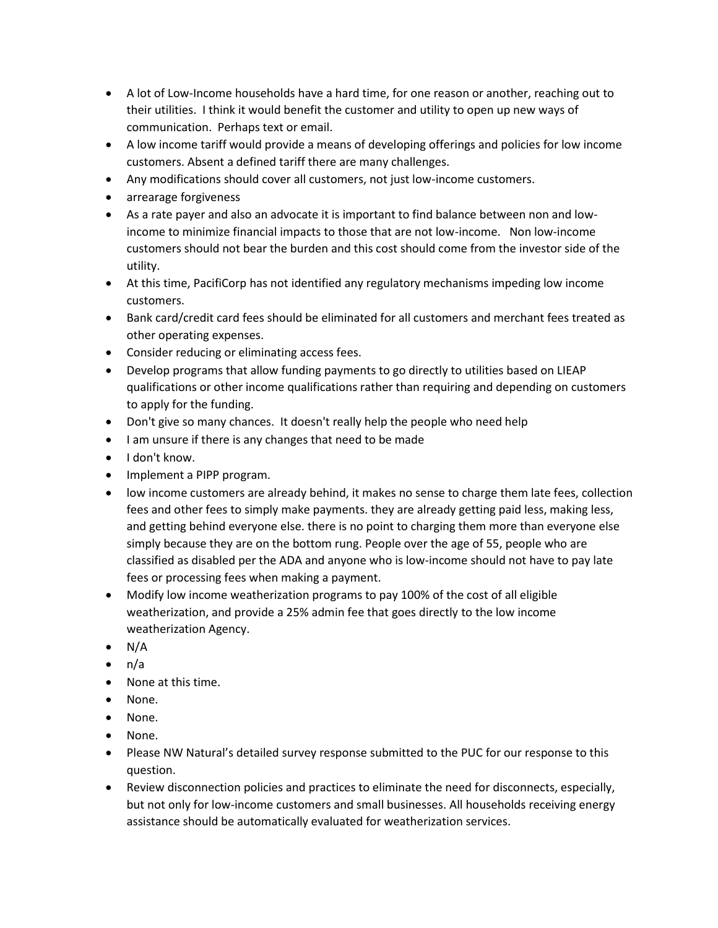- A lot of Low-Income households have a hard time, for one reason or another, reaching out to their utilities. I think it would benefit the customer and utility to open up new ways of communication. Perhaps text or email.
- A low income tariff would provide a means of developing offerings and policies for low income customers. Absent a defined tariff there are many challenges.
- Any modifications should cover all customers, not just low-income customers.
- arrearage forgiveness
- As a rate payer and also an advocate it is important to find balance between non and lowincome to minimize financial impacts to those that are not low-income. Non low-income customers should not bear the burden and this cost should come from the investor side of the utility.
- At this time, PacifiCorp has not identified any regulatory mechanisms impeding low income customers.
- Bank card/credit card fees should be eliminated for all customers and merchant fees treated as other operating expenses.
- Consider reducing or eliminating access fees.
- Develop programs that allow funding payments to go directly to utilities based on LIEAP qualifications or other income qualifications rather than requiring and depending on customers to apply for the funding.
- Don't give so many chances. It doesn't really help the people who need help
- I am unsure if there is any changes that need to be made
- I don't know.
- Implement a PIPP program.
- low income customers are already behind, it makes no sense to charge them late fees, collection fees and other fees to simply make payments. they are already getting paid less, making less, and getting behind everyone else. there is no point to charging them more than everyone else simply because they are on the bottom rung. People over the age of 55, people who are classified as disabled per the ADA and anyone who is low-income should not have to pay late fees or processing fees when making a payment.
- Modify low income weatherization programs to pay 100% of the cost of all eligible weatherization, and provide a 25% admin fee that goes directly to the low income weatherization Agency.
- $\bullet$  N/A
- $\bullet$  n/a
- None at this time.
- None.
- None.
- None.
- Please NW Natural's detailed survey response submitted to the PUC for our response to this question.
- Review disconnection policies and practices to eliminate the need for disconnects, especially, but not only for low-income customers and small businesses. All households receiving energy assistance should be automatically evaluated for weatherization services.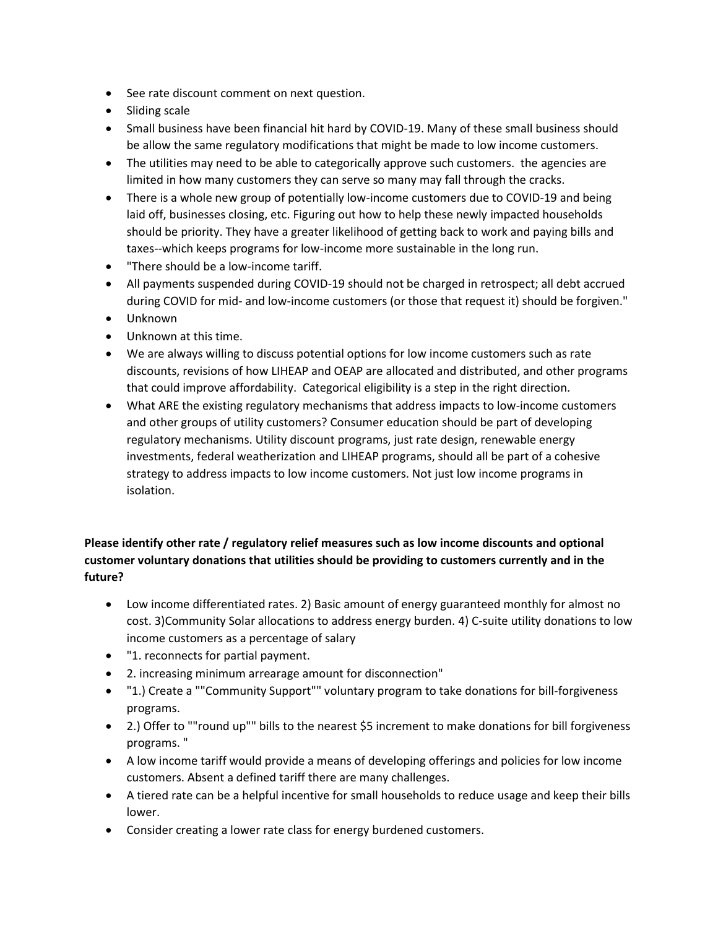- See rate discount comment on next question.
- Sliding scale
- Small business have been financial hit hard by COVID-19. Many of these small business should be allow the same regulatory modifications that might be made to low income customers.
- The utilities may need to be able to categorically approve such customers. the agencies are limited in how many customers they can serve so many may fall through the cracks.
- There is a whole new group of potentially low-income customers due to COVID-19 and being laid off, businesses closing, etc. Figuring out how to help these newly impacted households should be priority. They have a greater likelihood of getting back to work and paying bills and taxes--which keeps programs for low-income more sustainable in the long run.
- "There should be a low-income tariff.
- All payments suspended during COVID-19 should not be charged in retrospect; all debt accrued during COVID for mid- and low-income customers (or those that request it) should be forgiven."
- Unknown
- Unknown at this time.
- We are always willing to discuss potential options for low income customers such as rate discounts, revisions of how LIHEAP and OEAP are allocated and distributed, and other programs that could improve affordability. Categorical eligibility is a step in the right direction.
- What ARE the existing regulatory mechanisms that address impacts to low-income customers and other groups of utility customers? Consumer education should be part of developing regulatory mechanisms. Utility discount programs, just rate design, renewable energy investments, federal weatherization and LIHEAP programs, should all be part of a cohesive strategy to address impacts to low income customers. Not just low income programs in isolation.

# **Please identify other rate / regulatory relief measures such as low income discounts and optional customer voluntary donations that utilities should be providing to customers currently and in the future?**

- Low income differentiated rates. 2) Basic amount of energy guaranteed monthly for almost no cost. 3)Community Solar allocations to address energy burden. 4) C-suite utility donations to low income customers as a percentage of salary
- "1. reconnects for partial payment.
- 2. increasing minimum arrearage amount for disconnection"
- "1.) Create a ""Community Support"" voluntary program to take donations for bill-forgiveness programs.
- 2.) Offer to ""round up"" bills to the nearest \$5 increment to make donations for bill forgiveness programs. "
- A low income tariff would provide a means of developing offerings and policies for low income customers. Absent a defined tariff there are many challenges.
- A tiered rate can be a helpful incentive for small households to reduce usage and keep their bills lower.
- Consider creating a lower rate class for energy burdened customers.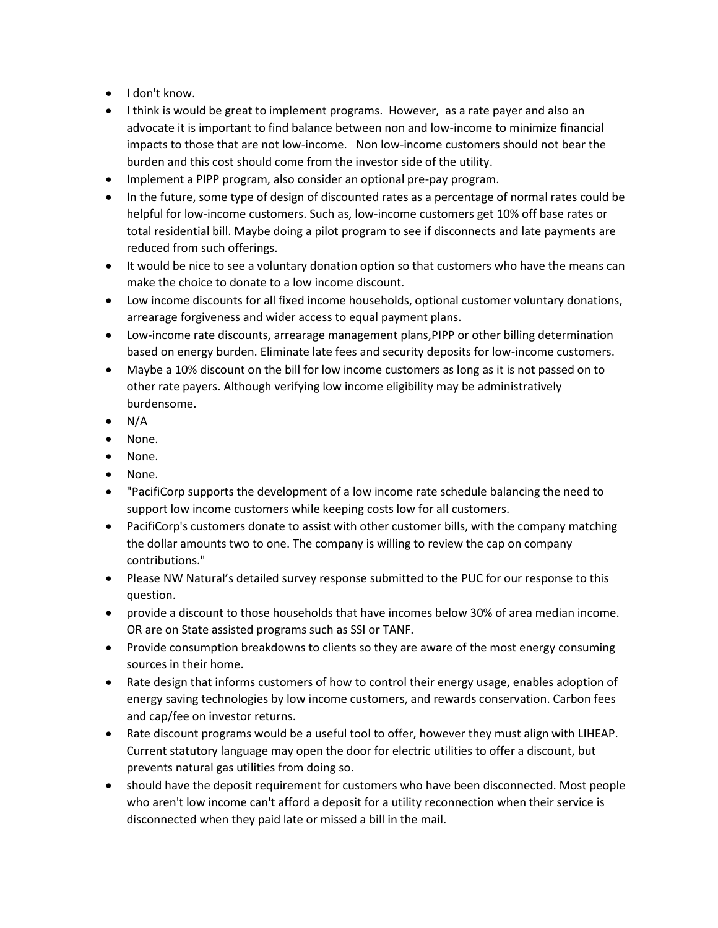- I don't know.
- I think is would be great to implement programs. However, as a rate payer and also an advocate it is important to find balance between non and low-income to minimize financial impacts to those that are not low-income. Non low-income customers should not bear the burden and this cost should come from the investor side of the utility.
- Implement a PIPP program, also consider an optional pre-pay program.
- In the future, some type of design of discounted rates as a percentage of normal rates could be helpful for low-income customers. Such as, low-income customers get 10% off base rates or total residential bill. Maybe doing a pilot program to see if disconnects and late payments are reduced from such offerings.
- It would be nice to see a voluntary donation option so that customers who have the means can make the choice to donate to a low income discount.
- Low income discounts for all fixed income households, optional customer voluntary donations, arrearage forgiveness and wider access to equal payment plans.
- Low-income rate discounts, arrearage management plans,PIPP or other billing determination based on energy burden. Eliminate late fees and security deposits for low-income customers.
- Maybe a 10% discount on the bill for low income customers as long as it is not passed on to other rate payers. Although verifying low income eligibility may be administratively burdensome.
- $\bullet$  N/A
- None.
- None.
- None.
- "PacifiCorp supports the development of a low income rate schedule balancing the need to support low income customers while keeping costs low for all customers.
- PacifiCorp's customers donate to assist with other customer bills, with the company matching the dollar amounts two to one. The company is willing to review the cap on company contributions."
- Please NW Natural's detailed survey response submitted to the PUC for our response to this question.
- provide a discount to those households that have incomes below 30% of area median income. OR are on State assisted programs such as SSI or TANF.
- Provide consumption breakdowns to clients so they are aware of the most energy consuming sources in their home.
- Rate design that informs customers of how to control their energy usage, enables adoption of energy saving technologies by low income customers, and rewards conservation. Carbon fees and cap/fee on investor returns.
- Rate discount programs would be a useful tool to offer, however they must align with LIHEAP. Current statutory language may open the door for electric utilities to offer a discount, but prevents natural gas utilities from doing so.
- should have the deposit requirement for customers who have been disconnected. Most people who aren't low income can't afford a deposit for a utility reconnection when their service is disconnected when they paid late or missed a bill in the mail.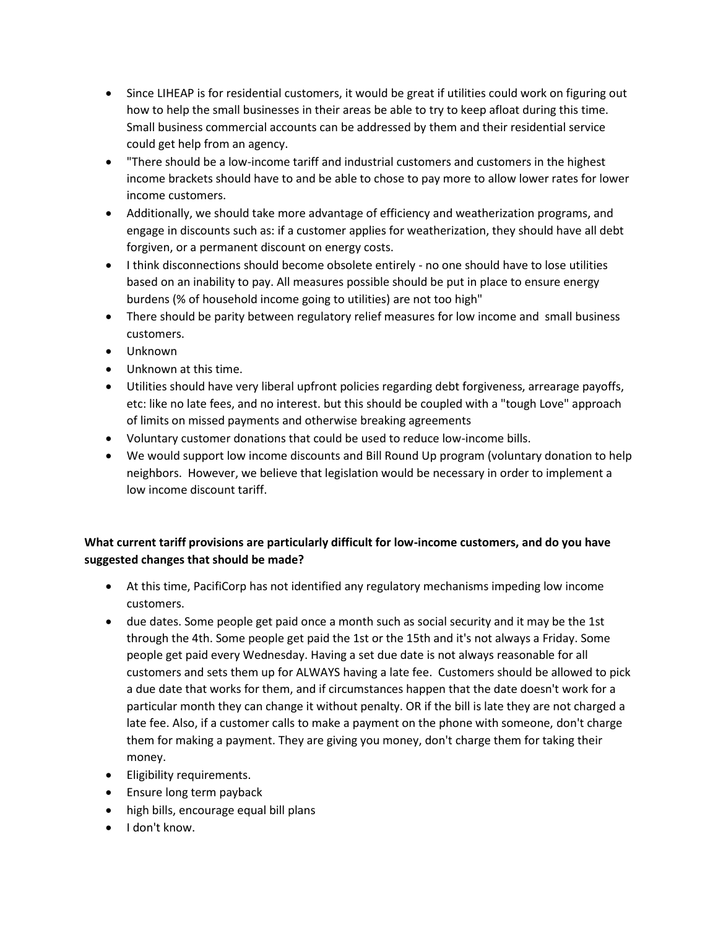- Since LIHEAP is for residential customers, it would be great if utilities could work on figuring out how to help the small businesses in their areas be able to try to keep afloat during this time. Small business commercial accounts can be addressed by them and their residential service could get help from an agency.
- "There should be a low-income tariff and industrial customers and customers in the highest income brackets should have to and be able to chose to pay more to allow lower rates for lower income customers.
- Additionally, we should take more advantage of efficiency and weatherization programs, and engage in discounts such as: if a customer applies for weatherization, they should have all debt forgiven, or a permanent discount on energy costs.
- I think disconnections should become obsolete entirely no one should have to lose utilities based on an inability to pay. All measures possible should be put in place to ensure energy burdens (% of household income going to utilities) are not too high"
- There should be parity between regulatory relief measures for low income and small business customers.
- Unknown
- Unknown at this time.
- Utilities should have very liberal upfront policies regarding debt forgiveness, arrearage payoffs, etc: like no late fees, and no interest. but this should be coupled with a "tough Love" approach of limits on missed payments and otherwise breaking agreements
- Voluntary customer donations that could be used to reduce low-income bills.
- We would support low income discounts and Bill Round Up program (voluntary donation to help neighbors. However, we believe that legislation would be necessary in order to implement a low income discount tariff.

### **What current tariff provisions are particularly difficult for low-income customers, and do you have suggested changes that should be made?**

- At this time, PacifiCorp has not identified any regulatory mechanisms impeding low income customers.
- due dates. Some people get paid once a month such as social security and it may be the 1st through the 4th. Some people get paid the 1st or the 15th and it's not always a Friday. Some people get paid every Wednesday. Having a set due date is not always reasonable for all customers and sets them up for ALWAYS having a late fee. Customers should be allowed to pick a due date that works for them, and if circumstances happen that the date doesn't work for a particular month they can change it without penalty. OR if the bill is late they are not charged a late fee. Also, if a customer calls to make a payment on the phone with someone, don't charge them for making a payment. They are giving you money, don't charge them for taking their money.
- **•** Eligibility requirements.
- **Ensure long term payback**
- high bills, encourage equal bill plans
- I don't know.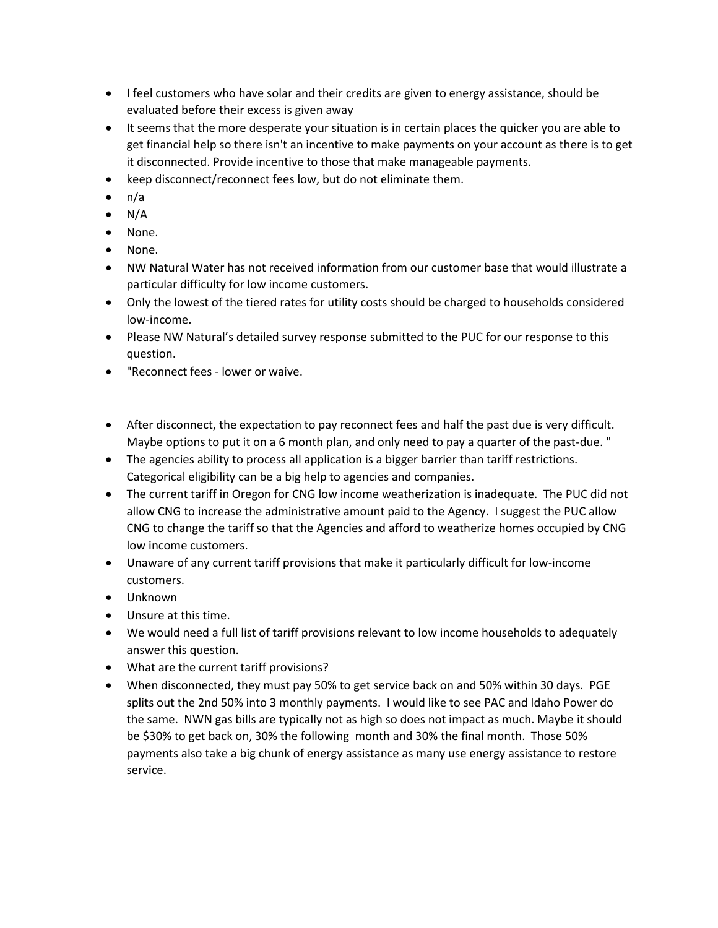- I feel customers who have solar and their credits are given to energy assistance, should be evaluated before their excess is given away
- It seems that the more desperate your situation is in certain places the quicker you are able to get financial help so there isn't an incentive to make payments on your account as there is to get it disconnected. Provide incentive to those that make manageable payments.
- keep disconnect/reconnect fees low, but do not eliminate them.
- $\bullet$  n/a
- $\bullet$  N/A
- None.
- None.
- NW Natural Water has not received information from our customer base that would illustrate a particular difficulty for low income customers.
- Only the lowest of the tiered rates for utility costs should be charged to households considered low-income.
- Please NW Natural's detailed survey response submitted to the PUC for our response to this question.
- "Reconnect fees lower or waive.
- After disconnect, the expectation to pay reconnect fees and half the past due is very difficult. Maybe options to put it on a 6 month plan, and only need to pay a quarter of the past-due. "
- The agencies ability to process all application is a bigger barrier than tariff restrictions. Categorical eligibility can be a big help to agencies and companies.
- The current tariff in Oregon for CNG low income weatherization is inadequate. The PUC did not allow CNG to increase the administrative amount paid to the Agency. I suggest the PUC allow CNG to change the tariff so that the Agencies and afford to weatherize homes occupied by CNG low income customers.
- Unaware of any current tariff provisions that make it particularly difficult for low-income customers.
- Unknown
- Unsure at this time.
- We would need a full list of tariff provisions relevant to low income households to adequately answer this question.
- What are the current tariff provisions?
- When disconnected, they must pay 50% to get service back on and 50% within 30 days. PGE splits out the 2nd 50% into 3 monthly payments. I would like to see PAC and Idaho Power do the same. NWN gas bills are typically not as high so does not impact as much. Maybe it should be \$30% to get back on, 30% the following month and 30% the final month. Those 50% payments also take a big chunk of energy assistance as many use energy assistance to restore service.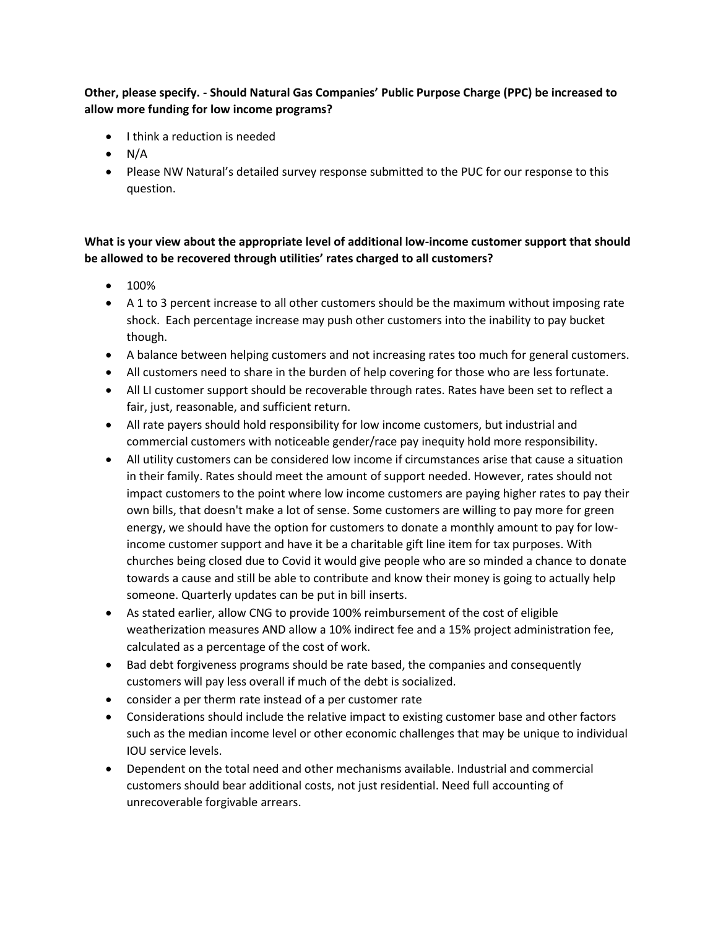## **Other, please specify. - Should Natural Gas Companies' Public Purpose Charge (PPC) be increased to allow more funding for low income programs?**

- $\bullet$  I think a reduction is needed
- $\bullet$  N/A
- Please NW Natural's detailed survey response submitted to the PUC for our response to this question.

## **What is your view about the appropriate level of additional low-income customer support that should be allowed to be recovered through utilities' rates charged to all customers?**

- 100%
- A 1 to 3 percent increase to all other customers should be the maximum without imposing rate shock. Each percentage increase may push other customers into the inability to pay bucket though.
- A balance between helping customers and not increasing rates too much for general customers.
- All customers need to share in the burden of help covering for those who are less fortunate.
- All LI customer support should be recoverable through rates. Rates have been set to reflect a fair, just, reasonable, and sufficient return.
- All rate payers should hold responsibility for low income customers, but industrial and commercial customers with noticeable gender/race pay inequity hold more responsibility.
- All utility customers can be considered low income if circumstances arise that cause a situation in their family. Rates should meet the amount of support needed. However, rates should not impact customers to the point where low income customers are paying higher rates to pay their own bills, that doesn't make a lot of sense. Some customers are willing to pay more for green energy, we should have the option for customers to donate a monthly amount to pay for lowincome customer support and have it be a charitable gift line item for tax purposes. With churches being closed due to Covid it would give people who are so minded a chance to donate towards a cause and still be able to contribute and know their money is going to actually help someone. Quarterly updates can be put in bill inserts.
- As stated earlier, allow CNG to provide 100% reimbursement of the cost of eligible weatherization measures AND allow a 10% indirect fee and a 15% project administration fee, calculated as a percentage of the cost of work.
- Bad debt forgiveness programs should be rate based, the companies and consequently customers will pay less overall if much of the debt is socialized.
- consider a per therm rate instead of a per customer rate
- Considerations should include the relative impact to existing customer base and other factors such as the median income level or other economic challenges that may be unique to individual IOU service levels.
- Dependent on the total need and other mechanisms available. Industrial and commercial customers should bear additional costs, not just residential. Need full accounting of unrecoverable forgivable arrears.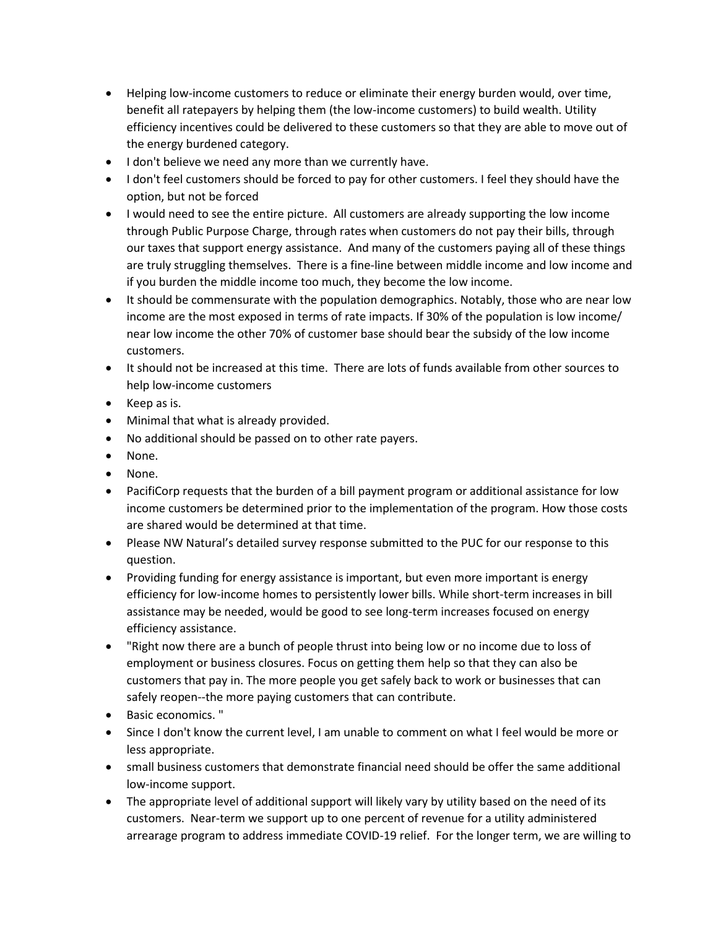- Helping low-income customers to reduce or eliminate their energy burden would, over time, benefit all ratepayers by helping them (the low-income customers) to build wealth. Utility efficiency incentives could be delivered to these customers so that they are able to move out of the energy burdened category.
- I don't believe we need any more than we currently have.
- I don't feel customers should be forced to pay for other customers. I feel they should have the option, but not be forced
- I would need to see the entire picture. All customers are already supporting the low income through Public Purpose Charge, through rates when customers do not pay their bills, through our taxes that support energy assistance. And many of the customers paying all of these things are truly struggling themselves. There is a fine-line between middle income and low income and if you burden the middle income too much, they become the low income.
- It should be commensurate with the population demographics. Notably, those who are near low income are the most exposed in terms of rate impacts. If 30% of the population is low income/ near low income the other 70% of customer base should bear the subsidy of the low income customers.
- It should not be increased at this time. There are lots of funds available from other sources to help low-income customers
- Keep as is.
- Minimal that what is already provided.
- No additional should be passed on to other rate payers.
- None.
- None.
- PacifiCorp requests that the burden of a bill payment program or additional assistance for low income customers be determined prior to the implementation of the program. How those costs are shared would be determined at that time.
- Please NW Natural's detailed survey response submitted to the PUC for our response to this question.
- Providing funding for energy assistance is important, but even more important is energy efficiency for low-income homes to persistently lower bills. While short-term increases in bill assistance may be needed, would be good to see long-term increases focused on energy efficiency assistance.
- "Right now there are a bunch of people thrust into being low or no income due to loss of employment or business closures. Focus on getting them help so that they can also be customers that pay in. The more people you get safely back to work or businesses that can safely reopen--the more paying customers that can contribute.
- Basic economics. "
- Since I don't know the current level, I am unable to comment on what I feel would be more or less appropriate.
- small business customers that demonstrate financial need should be offer the same additional low-income support.
- The appropriate level of additional support will likely vary by utility based on the need of its customers. Near-term we support up to one percent of revenue for a utility administered arrearage program to address immediate COVID-19 relief. For the longer term, we are willing to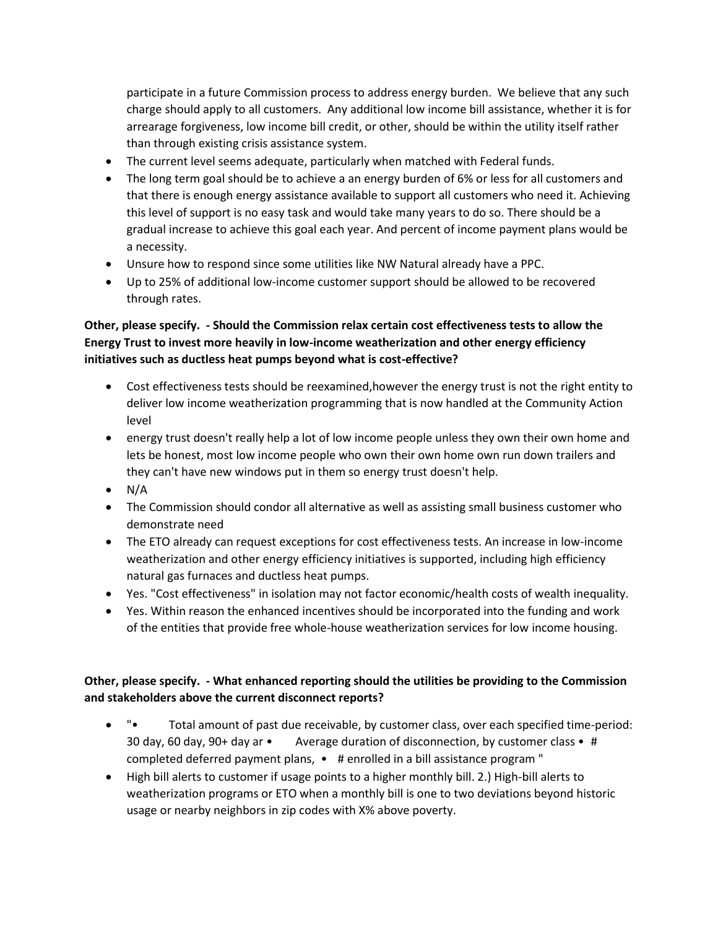participate in a future Commission process to address energy burden. We believe that any such charge should apply to all customers. Any additional low income bill assistance, whether it is for arrearage forgiveness, low income bill credit, or other, should be within the utility itself rather than through existing crisis assistance system.

- The current level seems adequate, particularly when matched with Federal funds.
- The long term goal should be to achieve a an energy burden of 6% or less for all customers and that there is enough energy assistance available to support all customers who need it. Achieving this level of support is no easy task and would take many years to do so. There should be a gradual increase to achieve this goal each year. And percent of income payment plans would be a necessity.
- Unsure how to respond since some utilities like NW Natural already have a PPC.
- Up to 25% of additional low-income customer support should be allowed to be recovered through rates.

# **Other, please specify. - Should the Commission relax certain cost effectiveness tests to allow the Energy Trust to invest more heavily in low-income weatherization and other energy efficiency initiatives such as ductless heat pumps beyond what is cost-effective?**

- Cost effectiveness tests should be reexamined,however the energy trust is not the right entity to deliver low income weatherization programming that is now handled at the Community Action level
- energy trust doesn't really help a lot of low income people unless they own their own home and lets be honest, most low income people who own their own home own run down trailers and they can't have new windows put in them so energy trust doesn't help.
- $\bullet$  N/A
- The Commission should condor all alternative as well as assisting small business customer who demonstrate need
- The ETO already can request exceptions for cost effectiveness tests. An increase in low-income weatherization and other energy efficiency initiatives is supported, including high efficiency natural gas furnaces and ductless heat pumps.
- Yes. "Cost effectiveness" in isolation may not factor economic/health costs of wealth inequality.
- Yes. Within reason the enhanced incentives should be incorporated into the funding and work of the entities that provide free whole-house weatherization services for low income housing.

### **Other, please specify. - What enhanced reporting should the utilities be providing to the Commission and stakeholders above the current disconnect reports?**

- "• Total amount of past due receivable, by customer class, over each specified time-period: 30 day, 60 day, 90+ day ar • Average duration of disconnection, by customer class •  $\#$ completed deferred payment plans, • # enrolled in a bill assistance program "
- High bill alerts to customer if usage points to a higher monthly bill. 2.) High-bill alerts to weatherization programs or ETO when a monthly bill is one to two deviations beyond historic usage or nearby neighbors in zip codes with X% above poverty.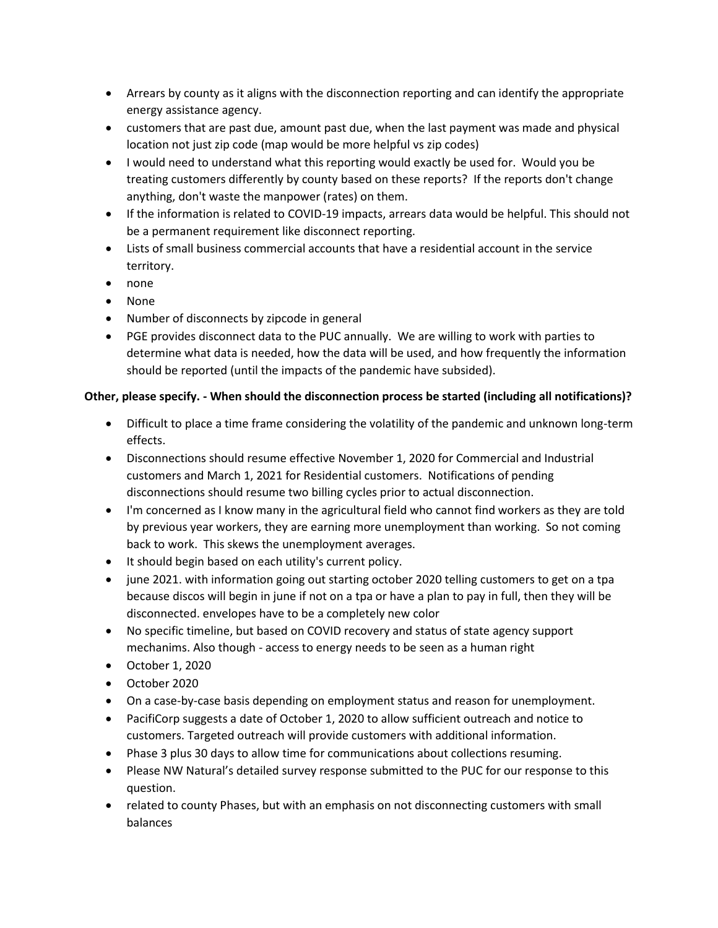- Arrears by county as it aligns with the disconnection reporting and can identify the appropriate energy assistance agency.
- customers that are past due, amount past due, when the last payment was made and physical location not just zip code (map would be more helpful vs zip codes)
- I would need to understand what this reporting would exactly be used for. Would you be treating customers differently by county based on these reports? If the reports don't change anything, don't waste the manpower (rates) on them.
- If the information is related to COVID-19 impacts, arrears data would be helpful. This should not be a permanent requirement like disconnect reporting.
- Lists of small business commercial accounts that have a residential account in the service territory.
- none
- None
- Number of disconnects by zipcode in general
- PGE provides disconnect data to the PUC annually. We are willing to work with parties to determine what data is needed, how the data will be used, and how frequently the information should be reported (until the impacts of the pandemic have subsided).

# **Other, please specify. - When should the disconnection process be started (including all notifications)?**

- Difficult to place a time frame considering the volatility of the pandemic and unknown long-term effects.
- Disconnections should resume effective November 1, 2020 for Commercial and Industrial customers and March 1, 2021 for Residential customers. Notifications of pending disconnections should resume two billing cycles prior to actual disconnection.
- I'm concerned as I know many in the agricultural field who cannot find workers as they are told by previous year workers, they are earning more unemployment than working. So not coming back to work. This skews the unemployment averages.
- It should begin based on each utility's current policy.
- june 2021. with information going out starting october 2020 telling customers to get on a tpa because discos will begin in june if not on a tpa or have a plan to pay in full, then they will be disconnected. envelopes have to be a completely new color
- No specific timeline, but based on COVID recovery and status of state agency support mechanims. Also though - access to energy needs to be seen as a human right
- October 1, 2020
- October 2020
- On a case-by-case basis depending on employment status and reason for unemployment.
- PacifiCorp suggests a date of October 1, 2020 to allow sufficient outreach and notice to customers. Targeted outreach will provide customers with additional information.
- Phase 3 plus 30 days to allow time for communications about collections resuming.
- Please NW Natural's detailed survey response submitted to the PUC for our response to this question.
- related to county Phases, but with an emphasis on not disconnecting customers with small balances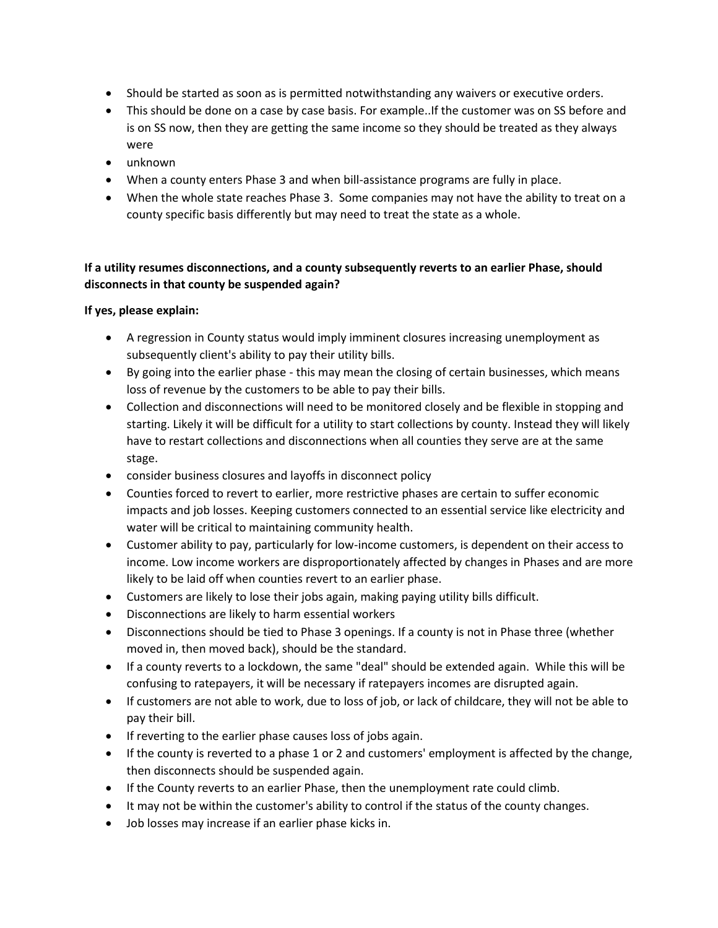- Should be started as soon as is permitted notwithstanding any waivers or executive orders.
- This should be done on a case by case basis. For example. If the customer was on SS before and is on SS now, then they are getting the same income so they should be treated as they always were
- unknown
- When a county enters Phase 3 and when bill-assistance programs are fully in place.
- When the whole state reaches Phase 3. Some companies may not have the ability to treat on a county specific basis differently but may need to treat the state as a whole.

## **If a utility resumes disconnections, and a county subsequently reverts to an earlier Phase, should disconnects in that county be suspended again?**

#### **If yes, please explain:**

- A regression in County status would imply imminent closures increasing unemployment as subsequently client's ability to pay their utility bills.
- By going into the earlier phase this may mean the closing of certain businesses, which means loss of revenue by the customers to be able to pay their bills.
- Collection and disconnections will need to be monitored closely and be flexible in stopping and starting. Likely it will be difficult for a utility to start collections by county. Instead they will likely have to restart collections and disconnections when all counties they serve are at the same stage.
- consider business closures and layoffs in disconnect policy
- Counties forced to revert to earlier, more restrictive phases are certain to suffer economic impacts and job losses. Keeping customers connected to an essential service like electricity and water will be critical to maintaining community health.
- Customer ability to pay, particularly for low-income customers, is dependent on their access to income. Low income workers are disproportionately affected by changes in Phases and are more likely to be laid off when counties revert to an earlier phase.
- Customers are likely to lose their jobs again, making paying utility bills difficult.
- Disconnections are likely to harm essential workers
- Disconnections should be tied to Phase 3 openings. If a county is not in Phase three (whether moved in, then moved back), should be the standard.
- If a county reverts to a lockdown, the same "deal" should be extended again. While this will be confusing to ratepayers, it will be necessary if ratepayers incomes are disrupted again.
- If customers are not able to work, due to loss of job, or lack of childcare, they will not be able to pay their bill.
- If reverting to the earlier phase causes loss of jobs again.
- If the county is reverted to a phase 1 or 2 and customers' employment is affected by the change, then disconnects should be suspended again.
- If the County reverts to an earlier Phase, then the unemployment rate could climb.
- It may not be within the customer's ability to control if the status of the county changes.
- Job losses may increase if an earlier phase kicks in.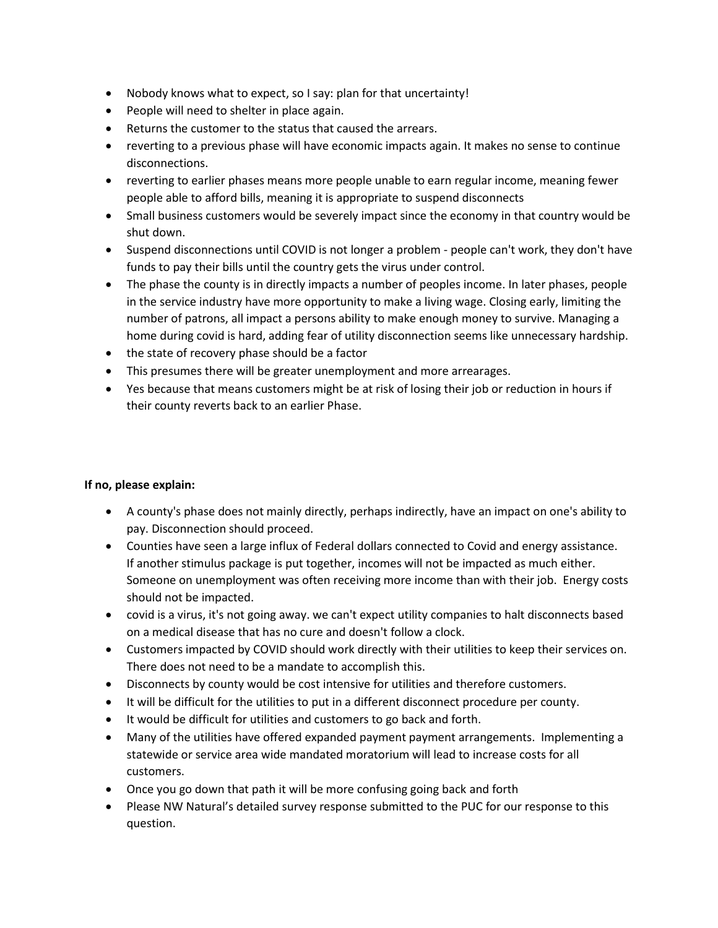- Nobody knows what to expect, so I say: plan for that uncertainty!
- People will need to shelter in place again.
- Returns the customer to the status that caused the arrears.
- reverting to a previous phase will have economic impacts again. It makes no sense to continue disconnections.
- reverting to earlier phases means more people unable to earn regular income, meaning fewer people able to afford bills, meaning it is appropriate to suspend disconnects
- Small business customers would be severely impact since the economy in that country would be shut down.
- Suspend disconnections until COVID is not longer a problem people can't work, they don't have funds to pay their bills until the country gets the virus under control.
- The phase the county is in directly impacts a number of peoples income. In later phases, people in the service industry have more opportunity to make a living wage. Closing early, limiting the number of patrons, all impact a persons ability to make enough money to survive. Managing a home during covid is hard, adding fear of utility disconnection seems like unnecessary hardship.
- the state of recovery phase should be a factor
- This presumes there will be greater unemployment and more arrearages.
- Yes because that means customers might be at risk of losing their job or reduction in hours if their county reverts back to an earlier Phase.

#### **If no, please explain:**

- A county's phase does not mainly directly, perhaps indirectly, have an impact on one's ability to pay. Disconnection should proceed.
- Counties have seen a large influx of Federal dollars connected to Covid and energy assistance. If another stimulus package is put together, incomes will not be impacted as much either. Someone on unemployment was often receiving more income than with their job. Energy costs should not be impacted.
- covid is a virus, it's not going away. we can't expect utility companies to halt disconnects based on a medical disease that has no cure and doesn't follow a clock.
- Customers impacted by COVID should work directly with their utilities to keep their services on. There does not need to be a mandate to accomplish this.
- Disconnects by county would be cost intensive for utilities and therefore customers.
- It will be difficult for the utilities to put in a different disconnect procedure per county.
- It would be difficult for utilities and customers to go back and forth.
- Many of the utilities have offered expanded payment payment arrangements. Implementing a statewide or service area wide mandated moratorium will lead to increase costs for all customers.
- Once you go down that path it will be more confusing going back and forth
- Please NW Natural's detailed survey response submitted to the PUC for our response to this question.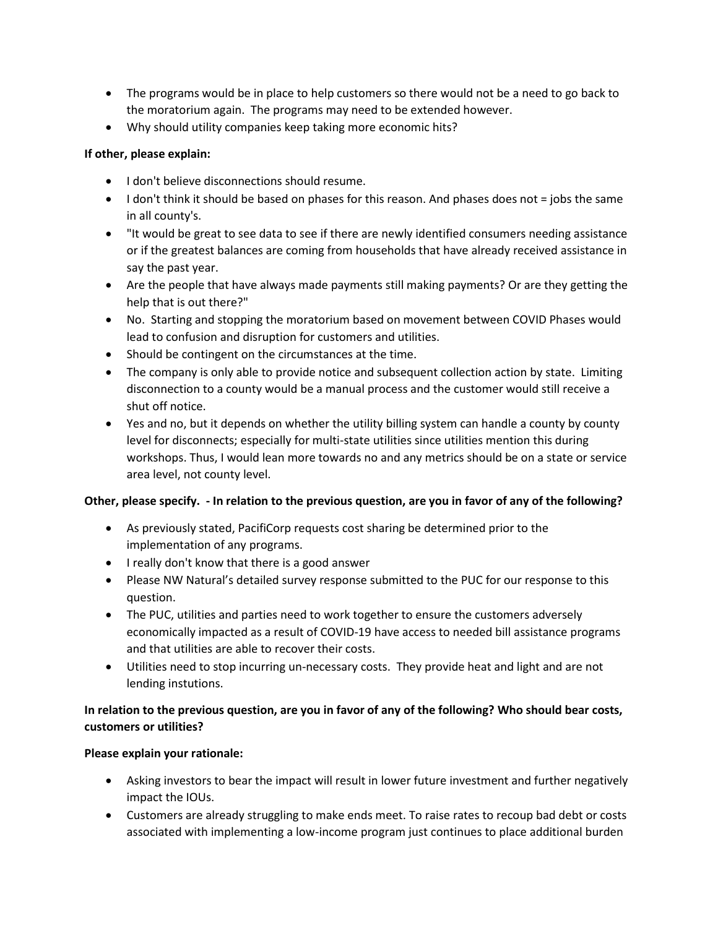- The programs would be in place to help customers so there would not be a need to go back to the moratorium again. The programs may need to be extended however.
- Why should utility companies keep taking more economic hits?

#### **If other, please explain:**

- I don't believe disconnections should resume.
- I don't think it should be based on phases for this reason. And phases does not = jobs the same in all county's.
- "It would be great to see data to see if there are newly identified consumers needing assistance or if the greatest balances are coming from households that have already received assistance in say the past year.
- Are the people that have always made payments still making payments? Or are they getting the help that is out there?"
- No. Starting and stopping the moratorium based on movement between COVID Phases would lead to confusion and disruption for customers and utilities.
- Should be contingent on the circumstances at the time.
- The company is only able to provide notice and subsequent collection action by state. Limiting disconnection to a county would be a manual process and the customer would still receive a shut off notice.
- Yes and no, but it depends on whether the utility billing system can handle a county by county level for disconnects; especially for multi-state utilities since utilities mention this during workshops. Thus, I would lean more towards no and any metrics should be on a state or service area level, not county level.

#### **Other, please specify. - In relation to the previous question, are you in favor of any of the following?**

- As previously stated, PacifiCorp requests cost sharing be determined prior to the implementation of any programs.
- I really don't know that there is a good answer
- Please NW Natural's detailed survey response submitted to the PUC for our response to this question.
- The PUC, utilities and parties need to work together to ensure the customers adversely economically impacted as a result of COVID-19 have access to needed bill assistance programs and that utilities are able to recover their costs.
- Utilities need to stop incurring un-necessary costs. They provide heat and light and are not lending instutions.

### **In relation to the previous question, are you in favor of any of the following? Who should bear costs, customers or utilities?**

#### **Please explain your rationale:**

- Asking investors to bear the impact will result in lower future investment and further negatively impact the IOUs.
- Customers are already struggling to make ends meet. To raise rates to recoup bad debt or costs associated with implementing a low-income program just continues to place additional burden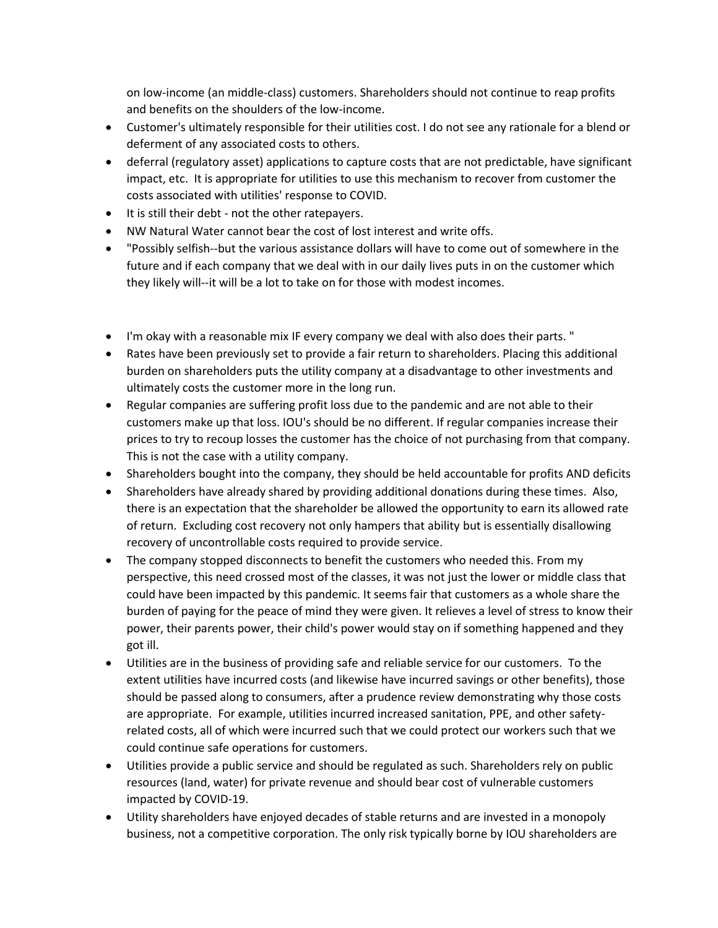on low-income (an middle-class) customers. Shareholders should not continue to reap profits and benefits on the shoulders of the low-income.

- Customer's ultimately responsible for their utilities cost. I do not see any rationale for a blend or deferment of any associated costs to others.
- deferral (regulatory asset) applications to capture costs that are not predictable, have significant impact, etc. It is appropriate for utilities to use this mechanism to recover from customer the costs associated with utilities' response to COVID.
- It is still their debt not the other ratepayers.
- NW Natural Water cannot bear the cost of lost interest and write offs.
- "Possibly selfish--but the various assistance dollars will have to come out of somewhere in the future and if each company that we deal with in our daily lives puts in on the customer which they likely will--it will be a lot to take on for those with modest incomes.
- I'm okay with a reasonable mix IF every company we deal with also does their parts. "
- Rates have been previously set to provide a fair return to shareholders. Placing this additional burden on shareholders puts the utility company at a disadvantage to other investments and ultimately costs the customer more in the long run.
- Regular companies are suffering profit loss due to the pandemic and are not able to their customers make up that loss. IOU's should be no different. If regular companies increase their prices to try to recoup losses the customer has the choice of not purchasing from that company. This is not the case with a utility company.
- Shareholders bought into the company, they should be held accountable for profits AND deficits
- Shareholders have already shared by providing additional donations during these times. Also, there is an expectation that the shareholder be allowed the opportunity to earn its allowed rate of return. Excluding cost recovery not only hampers that ability but is essentially disallowing recovery of uncontrollable costs required to provide service.
- The company stopped disconnects to benefit the customers who needed this. From my perspective, this need crossed most of the classes, it was not just the lower or middle class that could have been impacted by this pandemic. It seems fair that customers as a whole share the burden of paying for the peace of mind they were given. It relieves a level of stress to know their power, their parents power, their child's power would stay on if something happened and they got ill.
- Utilities are in the business of providing safe and reliable service for our customers. To the extent utilities have incurred costs (and likewise have incurred savings or other benefits), those should be passed along to consumers, after a prudence review demonstrating why those costs are appropriate. For example, utilities incurred increased sanitation, PPE, and other safetyrelated costs, all of which were incurred such that we could protect our workers such that we could continue safe operations for customers.
- Utilities provide a public service and should be regulated as such. Shareholders rely on public resources (land, water) for private revenue and should bear cost of vulnerable customers impacted by COVID-19.
- Utility shareholders have enjoyed decades of stable returns and are invested in a monopoly business, not a competitive corporation. The only risk typically borne by IOU shareholders are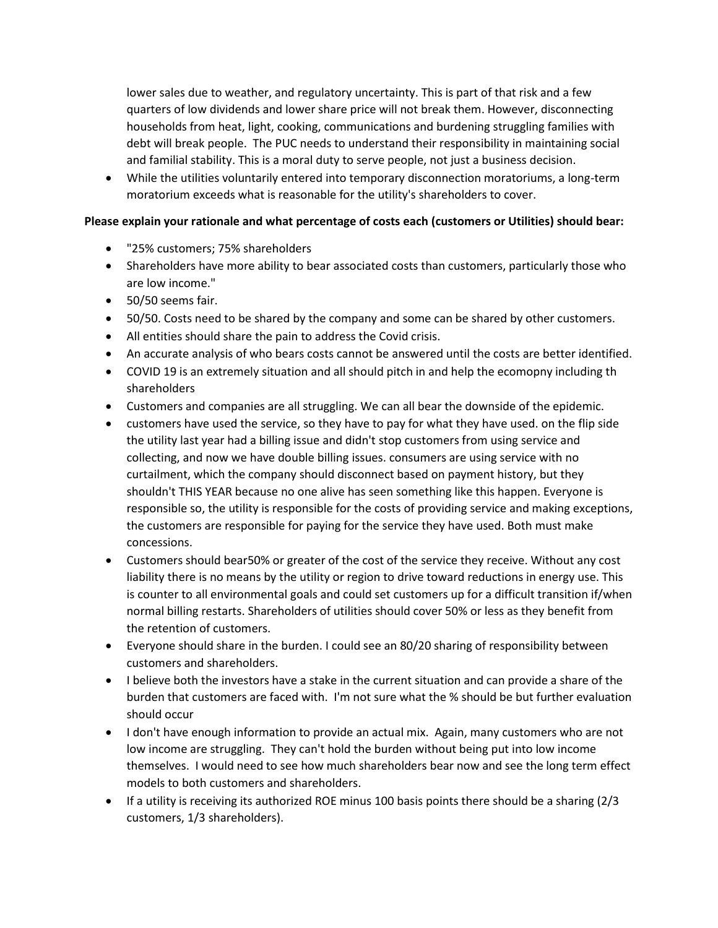lower sales due to weather, and regulatory uncertainty. This is part of that risk and a few quarters of low dividends and lower share price will not break them. However, disconnecting households from heat, light, cooking, communications and burdening struggling families with debt will break people. The PUC needs to understand their responsibility in maintaining social and familial stability. This is a moral duty to serve people, not just a business decision.

 While the utilities voluntarily entered into temporary disconnection moratoriums, a long-term moratorium exceeds what is reasonable for the utility's shareholders to cover.

#### **Please explain your rationale and what percentage of costs each (customers or Utilities) should bear:**

- "25% customers; 75% shareholders
- Shareholders have more ability to bear associated costs than customers, particularly those who are low income."
- 50/50 seems fair.
- 50/50. Costs need to be shared by the company and some can be shared by other customers.
- All entities should share the pain to address the Covid crisis.
- An accurate analysis of who bears costs cannot be answered until the costs are better identified.
- COVID 19 is an extremely situation and all should pitch in and help the ecomopny including th shareholders
- Customers and companies are all struggling. We can all bear the downside of the epidemic.
- customers have used the service, so they have to pay for what they have used. on the flip side the utility last year had a billing issue and didn't stop customers from using service and collecting, and now we have double billing issues. consumers are using service with no curtailment, which the company should disconnect based on payment history, but they shouldn't THIS YEAR because no one alive has seen something like this happen. Everyone is responsible so, the utility is responsible for the costs of providing service and making exceptions, the customers are responsible for paying for the service they have used. Both must make concessions.
- Customers should bear50% or greater of the cost of the service they receive. Without any cost liability there is no means by the utility or region to drive toward reductions in energy use. This is counter to all environmental goals and could set customers up for a difficult transition if/when normal billing restarts. Shareholders of utilities should cover 50% or less as they benefit from the retention of customers.
- Everyone should share in the burden. I could see an 80/20 sharing of responsibility between customers and shareholders.
- I believe both the investors have a stake in the current situation and can provide a share of the burden that customers are faced with. I'm not sure what the % should be but further evaluation should occur
- I don't have enough information to provide an actual mix. Again, many customers who are not low income are struggling. They can't hold the burden without being put into low income themselves. I would need to see how much shareholders bear now and see the long term effect models to both customers and shareholders.
- $\bullet$  If a utility is receiving its authorized ROE minus 100 basis points there should be a sharing (2/3) customers, 1/3 shareholders).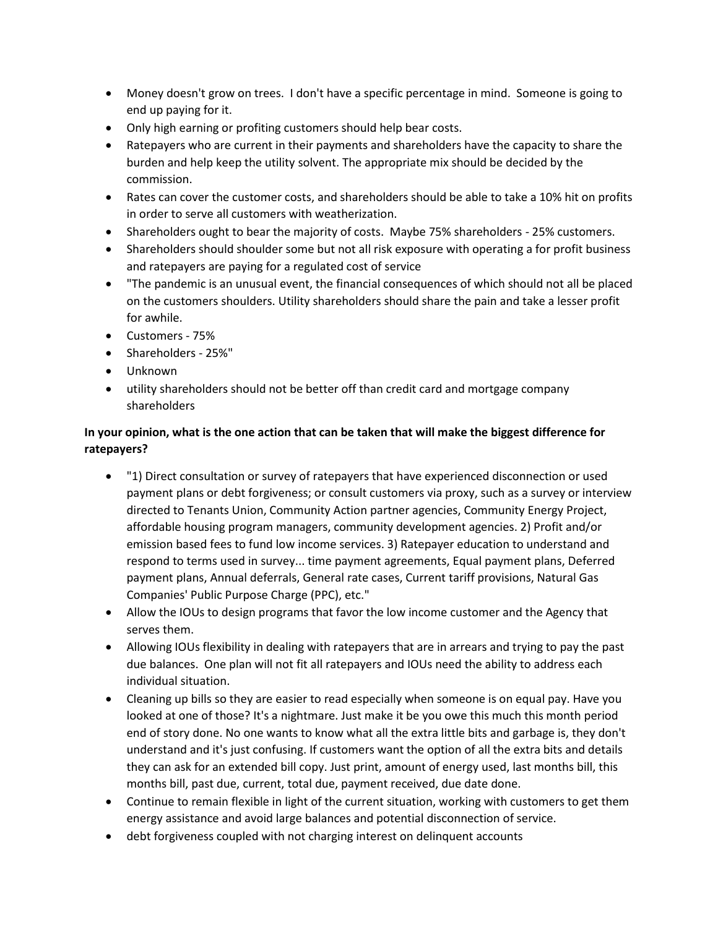- Money doesn't grow on trees. I don't have a specific percentage in mind. Someone is going to end up paying for it.
- Only high earning or profiting customers should help bear costs.
- Ratepayers who are current in their payments and shareholders have the capacity to share the burden and help keep the utility solvent. The appropriate mix should be decided by the commission.
- Rates can cover the customer costs, and shareholders should be able to take a 10% hit on profits in order to serve all customers with weatherization.
- Shareholders ought to bear the majority of costs. Maybe 75% shareholders 25% customers.
- Shareholders should shoulder some but not all risk exposure with operating a for profit business and ratepayers are paying for a regulated cost of service
- "The pandemic is an unusual event, the financial consequences of which should not all be placed on the customers shoulders. Utility shareholders should share the pain and take a lesser profit for awhile.
- Customers 75%
- Shareholders 25%"
- Unknown
- utility shareholders should not be better off than credit card and mortgage company shareholders

## **In your opinion, what is the one action that can be taken that will make the biggest difference for ratepayers?**

- "1) Direct consultation or survey of ratepayers that have experienced disconnection or used payment plans or debt forgiveness; or consult customers via proxy, such as a survey or interview directed to Tenants Union, Community Action partner agencies, Community Energy Project, affordable housing program managers, community development agencies. 2) Profit and/or emission based fees to fund low income services. 3) Ratepayer education to understand and respond to terms used in survey... time payment agreements, Equal payment plans, Deferred payment plans, Annual deferrals, General rate cases, Current tariff provisions, Natural Gas Companies' Public Purpose Charge (PPC), etc."
- Allow the IOUs to design programs that favor the low income customer and the Agency that serves them.
- Allowing IOUs flexibility in dealing with ratepayers that are in arrears and trying to pay the past due balances. One plan will not fit all ratepayers and IOUs need the ability to address each individual situation.
- Cleaning up bills so they are easier to read especially when someone is on equal pay. Have you looked at one of those? It's a nightmare. Just make it be you owe this much this month period end of story done. No one wants to know what all the extra little bits and garbage is, they don't understand and it's just confusing. If customers want the option of all the extra bits and details they can ask for an extended bill copy. Just print, amount of energy used, last months bill, this months bill, past due, current, total due, payment received, due date done.
- Continue to remain flexible in light of the current situation, working with customers to get them energy assistance and avoid large balances and potential disconnection of service.
- debt forgiveness coupled with not charging interest on delinquent accounts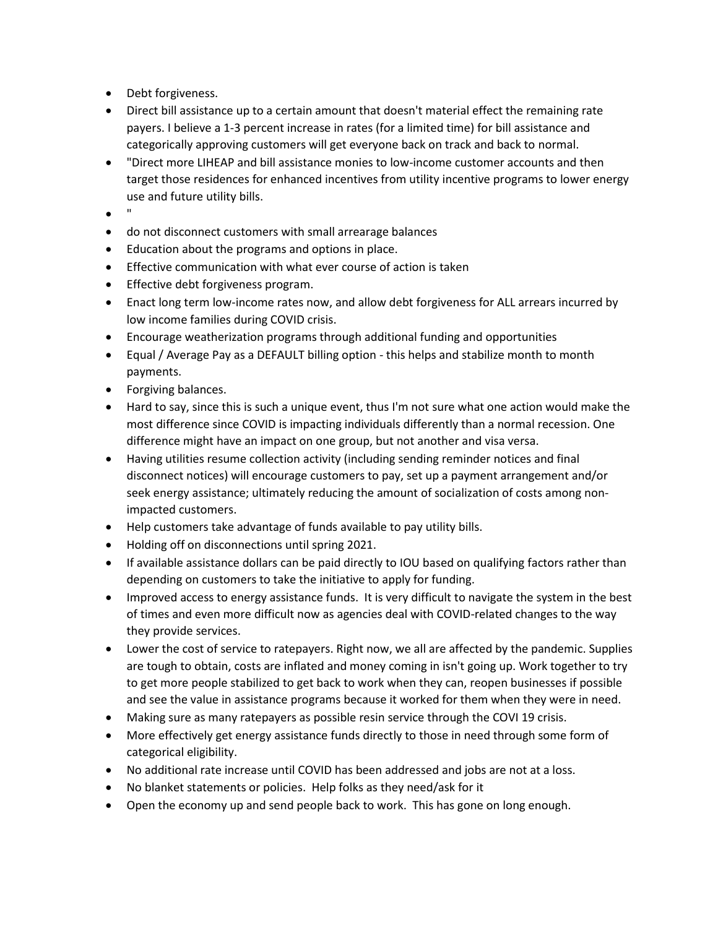- Debt forgiveness.
- Direct bill assistance up to a certain amount that doesn't material effect the remaining rate payers. I believe a 1-3 percent increase in rates (for a limited time) for bill assistance and categorically approving customers will get everyone back on track and back to normal.
- "Direct more LIHEAP and bill assistance monies to low-income customer accounts and then target those residences for enhanced incentives from utility incentive programs to lower energy use and future utility bills.
- "
- do not disconnect customers with small arrearage balances
- Education about the programs and options in place.
- Effective communication with what ever course of action is taken
- **•** Effective debt forgiveness program.
- Enact long term low-income rates now, and allow debt forgiveness for ALL arrears incurred by low income families during COVID crisis.
- Encourage weatherization programs through additional funding and opportunities
- Equal / Average Pay as a DEFAULT billing option this helps and stabilize month to month payments.
- Forgiving balances.
- Hard to say, since this is such a unique event, thus I'm not sure what one action would make the most difference since COVID is impacting individuals differently than a normal recession. One difference might have an impact on one group, but not another and visa versa.
- Having utilities resume collection activity (including sending reminder notices and final disconnect notices) will encourage customers to pay, set up a payment arrangement and/or seek energy assistance; ultimately reducing the amount of socialization of costs among nonimpacted customers.
- Help customers take advantage of funds available to pay utility bills.
- Holding off on disconnections until spring 2021.
- If available assistance dollars can be paid directly to IOU based on qualifying factors rather than depending on customers to take the initiative to apply for funding.
- Improved access to energy assistance funds. It is very difficult to navigate the system in the best of times and even more difficult now as agencies deal with COVID-related changes to the way they provide services.
- Lower the cost of service to ratepayers. Right now, we all are affected by the pandemic. Supplies are tough to obtain, costs are inflated and money coming in isn't going up. Work together to try to get more people stabilized to get back to work when they can, reopen businesses if possible and see the value in assistance programs because it worked for them when they were in need.
- Making sure as many ratepayers as possible resin service through the COVI 19 crisis.
- More effectively get energy assistance funds directly to those in need through some form of categorical eligibility.
- No additional rate increase until COVID has been addressed and jobs are not at a loss.
- No blanket statements or policies. Help folks as they need/ask for it
- Open the economy up and send people back to work. This has gone on long enough.